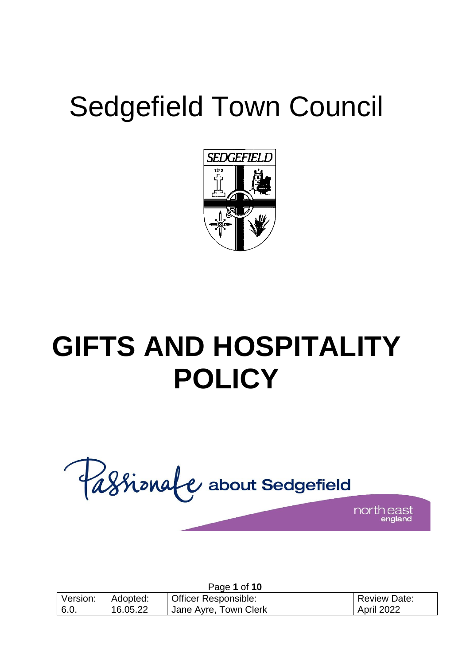# Sedgefield Town Council



# **GIFTS AND HOSPITALITY POLICY**

Passionale about Sedgefield north east

|          |          | Page 1 of 10                |                     |
|----------|----------|-----------------------------|---------------------|
| Version: | Adopted: | <b>Officer Responsible:</b> | <b>Review Date:</b> |
| 6.0.     | 16.05.22 | Jane Ayre, Town Clerk       | April 2022          |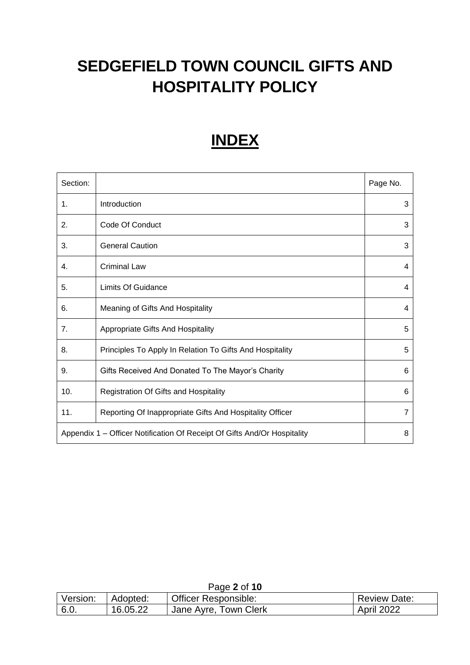## **SEDGEFIELD TOWN COUNCIL GIFTS AND HOSPITALITY POLICY**

## **INDEX**

| Section: |                                                                               | Page No.       |  |  |
|----------|-------------------------------------------------------------------------------|----------------|--|--|
| 1.       | Introduction                                                                  | 3              |  |  |
| 2.       | Code Of Conduct                                                               | 3              |  |  |
| 3.       | <b>General Caution</b>                                                        | 3              |  |  |
| 4.       | <b>Criminal Law</b>                                                           | 4              |  |  |
| 5.       | Limits Of Guidance                                                            | 4              |  |  |
| 6.       | Meaning of Gifts And Hospitality                                              | 4              |  |  |
| 7.       | <b>Appropriate Gifts And Hospitality</b>                                      | 5              |  |  |
| 8.       | Principles To Apply In Relation To Gifts And Hospitality                      | 5              |  |  |
| 9.       | Gifts Received And Donated To The Mayor's Charity                             | 6              |  |  |
| 10.      | Registration Of Gifts and Hospitality                                         | 6              |  |  |
| 11.      | Reporting Of Inappropriate Gifts And Hospitality Officer                      | $\overline{7}$ |  |  |
|          | Appendix 1 – Officer Notification Of Receipt Of Gifts And/Or Hospitality<br>8 |                |  |  |

|          |          | Page 2 of 10                |                     |
|----------|----------|-----------------------------|---------------------|
| Version: | Adopted: | <b>Officer Responsible:</b> | <b>Review Date:</b> |
| 6.0.     | 16.05.22 | Jane Ayre, Town Clerk       | <b>April 2022</b>   |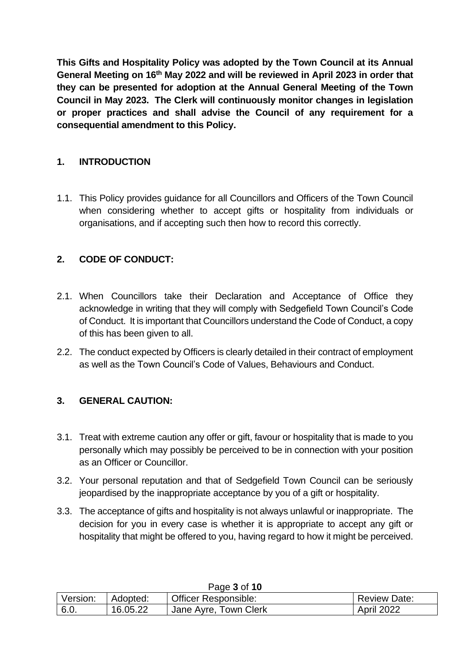**This Gifts and Hospitality Policy was adopted by the Town Council at its Annual General Meeting on 16th May 2022 and will be reviewed in April 2023 in order that they can be presented for adoption at the Annual General Meeting of the Town Council in May 2023. The Clerk will continuously monitor changes in legislation or proper practices and shall advise the Council of any requirement for a consequential amendment to this Policy.**

#### **1. INTRODUCTION**

1.1. This Policy provides guidance for all Councillors and Officers of the Town Council when considering whether to accept gifts or hospitality from individuals or organisations, and if accepting such then how to record this correctly.

#### **2. CODE OF CONDUCT:**

- 2.1. When Councillors take their Declaration and Acceptance of Office they acknowledge in writing that they will comply with Sedgefield Town Council's Code of Conduct. It is important that Councillors understand the Code of Conduct, a copy of this has been given to all.
- 2.2. The conduct expected by Officers is clearly detailed in their contract of employment as well as the Town Council's Code of Values, Behaviours and Conduct.

#### **3. GENERAL CAUTION:**

- 3.1. Treat with extreme caution any offer or gift, favour or hospitality that is made to you personally which may possibly be perceived to be in connection with your position as an Officer or Councillor.
- 3.2. Your personal reputation and that of Sedgefield Town Council can be seriously jeopardised by the inappropriate acceptance by you of a gift or hospitality.
- 3.3. The acceptance of gifts and hospitality is not always unlawful or inappropriate. The decision for you in every case is whether it is appropriate to accept any gift or hospitality that might be offered to you, having regard to how it might be perceived.

|          |          | <b>ay<del>c</del> J</b> UI I <b>U</b> |                     |
|----------|----------|---------------------------------------|---------------------|
| Version: | Adopted: | <b>Officer Responsible:</b>           | <b>Review Date:</b> |
| 6.0.     | 16.05.22 | <sup>1</sup> Jane Ayre, Town Clerk    | April 2022          |

Page **3** of **10**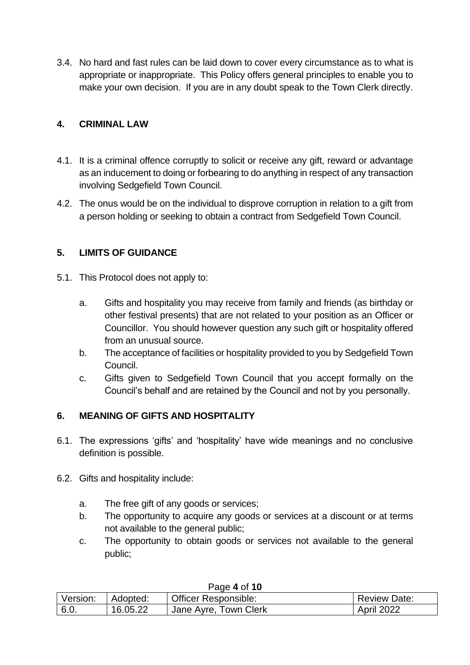3.4. No hard and fast rules can be laid down to cover every circumstance as to what is appropriate or inappropriate. This Policy offers general principles to enable you to make your own decision. If you are in any doubt speak to the Town Clerk directly.

#### **4. CRIMINAL LAW**

- 4.1. It is a criminal offence corruptly to solicit or receive any gift, reward or advantage as an inducement to doing or forbearing to do anything in respect of any transaction involving Sedgefield Town Council.
- 4.2. The onus would be on the individual to disprove corruption in relation to a gift from a person holding or seeking to obtain a contract from Sedgefield Town Council.

#### **5. LIMITS OF GUIDANCE**

- 5.1. This Protocol does not apply to:
	- a. Gifts and hospitality you may receive from family and friends (as birthday or other festival presents) that are not related to your position as an Officer or Councillor. You should however question any such gift or hospitality offered from an unusual source.
	- b. The acceptance of facilities or hospitality provided to you by Sedgefield Town Council.
	- c. Gifts given to Sedgefield Town Council that you accept formally on the Council's behalf and are retained by the Council and not by you personally.

#### **6. MEANING OF GIFTS AND HOSPITALITY**

- 6.1. The expressions 'gifts' and 'hospitality' have wide meanings and no conclusive definition is possible.
- 6.2. Gifts and hospitality include:
	- a. The free gift of any goods or services;
	- b. The opportunity to acquire any goods or services at a discount or at terms not available to the general public;
	- c. The opportunity to obtain goods or services not available to the general public;

| , uyv T vi IV |          |                             |                     |  |
|---------------|----------|-----------------------------|---------------------|--|
| Version:      | Adopted: | <b>Officer Responsible:</b> | <b>Review Date:</b> |  |
| 6.0.          | 16.05.22 | Jane Ayre, Town Clerk       | April 2022          |  |

#### Page **4** of **10**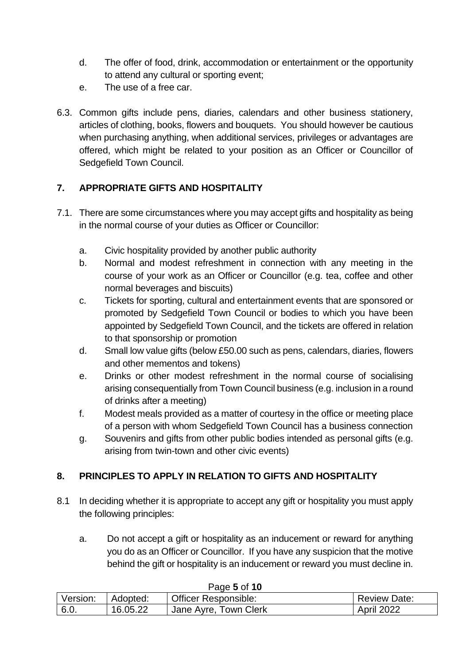- d. The offer of food, drink, accommodation or entertainment or the opportunity to attend any cultural or sporting event;
- e. The use of a free car.
- 6.3. Common gifts include pens, diaries, calendars and other business stationery, articles of clothing, books, flowers and bouquets. You should however be cautious when purchasing anything, when additional services, privileges or advantages are offered, which might be related to your position as an Officer or Councillor of Sedgefield Town Council.

#### **7. APPROPRIATE GIFTS AND HOSPITALITY**

- 7.1. There are some circumstances where you may accept gifts and hospitality as being in the normal course of your duties as Officer or Councillor:
	- a. Civic hospitality provided by another public authority
	- b. Normal and modest refreshment in connection with any meeting in the course of your work as an Officer or Councillor (e.g. tea, coffee and other normal beverages and biscuits)
	- c. Tickets for sporting, cultural and entertainment events that are sponsored or promoted by Sedgefield Town Council or bodies to which you have been appointed by Sedgefield Town Council, and the tickets are offered in relation to that sponsorship or promotion
	- d. Small low value gifts (below £50.00 such as pens, calendars, diaries, flowers and other mementos and tokens)
	- e. Drinks or other modest refreshment in the normal course of socialising arising consequentially from Town Council business (e.g. inclusion in a round of drinks after a meeting)
	- f. Modest meals provided as a matter of courtesy in the office or meeting place of a person with whom Sedgefield Town Council has a business connection
	- g. Souvenirs and gifts from other public bodies intended as personal gifts (e.g. arising from twin-town and other civic events)

#### **8. PRINCIPLES TO APPLY IN RELATION TO GIFTS AND HOSPITALITY**

- 8.1 In deciding whether it is appropriate to accept any gift or hospitality you must apply the following principles:
	- a. Do not accept a gift or hospitality as an inducement or reward for anything you do as an Officer or Councillor. If you have any suspicion that the motive behind the gift or hospitality is an inducement or reward you must decline in.

| Version: | Adopted: | <b>Officer Responsible:</b> | <b>Review Date:</b> |
|----------|----------|-----------------------------|---------------------|
| 6.0.     | 16.05.22 | Jane Ayre, Town Clerk       | April 2022          |

#### Page **5** of **10**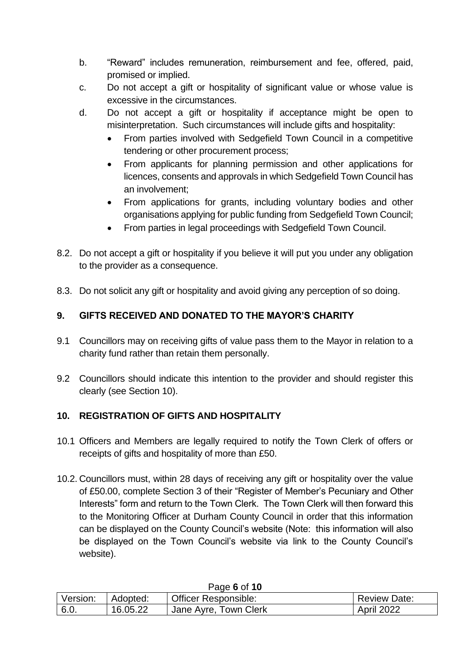- b. "Reward" includes remuneration, reimbursement and fee, offered, paid, promised or implied.
- c. Do not accept a gift or hospitality of significant value or whose value is excessive in the circumstances.
- d. Do not accept a gift or hospitality if acceptance might be open to misinterpretation. Such circumstances will include gifts and hospitality:
	- From parties involved with Sedgefield Town Council in a competitive tendering or other procurement process;
	- From applicants for planning permission and other applications for licences, consents and approvals in which Sedgefield Town Council has an involvement;
	- From applications for grants, including voluntary bodies and other organisations applying for public funding from Sedgefield Town Council;
	- From parties in legal proceedings with Sedgefield Town Council.
- 8.2. Do not accept a gift or hospitality if you believe it will put you under any obligation to the provider as a consequence.
- 8.3. Do not solicit any gift or hospitality and avoid giving any perception of so doing.

#### **9. GIFTS RECEIVED AND DONATED TO THE MAYOR'S CHARITY**

- 9.1 Councillors may on receiving gifts of value pass them to the Mayor in relation to a charity fund rather than retain them personally.
- 9.2 Councillors should indicate this intention to the provider and should register this clearly (see Section 10).

#### **10. REGISTRATION OF GIFTS AND HOSPITALITY**

- 10.1 Officers and Members are legally required to notify the Town Clerk of offers or receipts of gifts and hospitality of more than £50.
- 10.2. Councillors must, within 28 days of receiving any gift or hospitality over the value of £50.00, complete Section 3 of their "Register of Member's Pecuniary and Other Interests" form and return to the Town Clerk. The Town Clerk will then forward this to the Monitoring Officer at Durham County Council in order that this information can be displayed on the County Council's website (Note: this information will also be displayed on the Town Council's website via link to the County Council's website).

| <b>AUGUUIU</b> |          |                             |                     |  |
|----------------|----------|-----------------------------|---------------------|--|
| Version:       | Adopted: | <b>Officer Responsible:</b> | <b>Review Date:</b> |  |
| 6.0.           | 16.05.22 | ' Jane Ayre, Town Clerk     | <b>April 2022</b>   |  |

#### Page **6** of **10**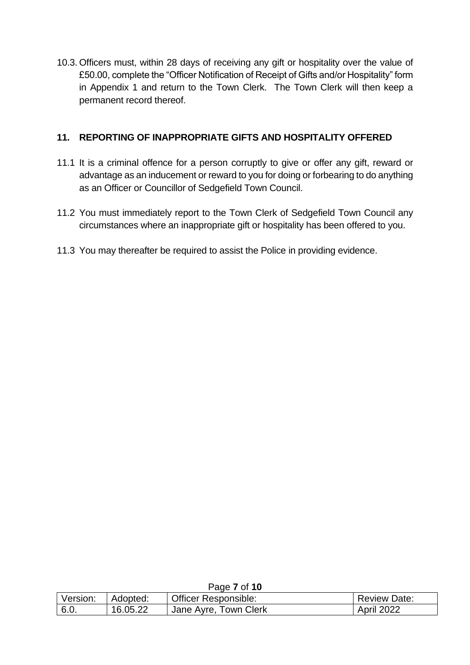10.3. Officers must, within 28 days of receiving any gift or hospitality over the value of £50.00, complete the "Officer Notification of Receipt of Gifts and/or Hospitality" form in Appendix 1 and return to the Town Clerk. The Town Clerk will then keep a permanent record thereof.

#### **11. REPORTING OF INAPPROPRIATE GIFTS AND HOSPITALITY OFFERED**

- 11.1 It is a criminal offence for a person corruptly to give or offer any gift, reward or advantage as an inducement or reward to you for doing or forbearing to do anything as an Officer or Councillor of Sedgefield Town Council.
- 11.2 You must immediately report to the Town Clerk of Sedgefield Town Council any circumstances where an inappropriate gift or hospitality has been offered to you.
- 11.3 You may thereafter be required to assist the Police in providing evidence.

| Page <i>I</i> OI IU |          |                             |                     |  |
|---------------------|----------|-----------------------------|---------------------|--|
| Version:            | Adopted: | <b>Officer Responsible:</b> | <b>Review Date:</b> |  |
| 6.0.                | 16.05.22 | Jane Ayre, Town Clerk       | April 2022          |  |

#### Page **7** of **10**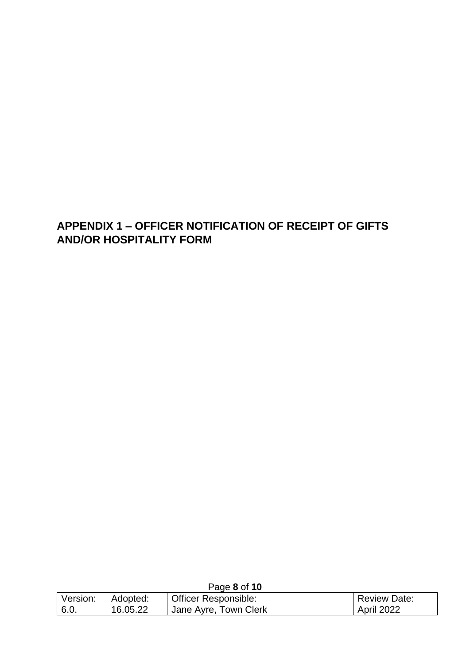### **APPENDIX 1 – OFFICER NOTIFICATION OF RECEIPT OF GIFTS AND/OR HOSPITALITY FORM**

|          |          | <b>Faye OUI IU</b>          |                     |
|----------|----------|-----------------------------|---------------------|
| Version: | Adopted: | <b>Officer Responsible:</b> | <b>Review Date:</b> |
| 6.0.     | 16.05.22 | 'Jane Ayre, Town Clerk      | <b>April 2022</b>   |

Page **8** of **10**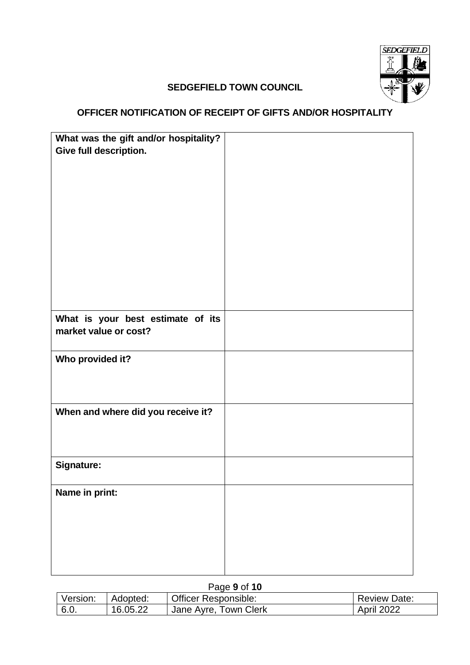

#### **SEDGEFIELD TOWN COUNCIL**

### **OFFICER NOTIFICATION OF RECEIPT OF GIFTS AND/OR HOSPITALITY**

| What was the gift and/or hospitality? |  |
|---------------------------------------|--|
| Give full description.                |  |
|                                       |  |
|                                       |  |
|                                       |  |
|                                       |  |
|                                       |  |
|                                       |  |
|                                       |  |
|                                       |  |
|                                       |  |
|                                       |  |
|                                       |  |
|                                       |  |
|                                       |  |
|                                       |  |
|                                       |  |
| What is your best estimate of its     |  |
| market value or cost?                 |  |
|                                       |  |
| Who provided it?                      |  |
|                                       |  |
|                                       |  |
|                                       |  |
|                                       |  |
| When and where did you receive it?    |  |
|                                       |  |
|                                       |  |
|                                       |  |
|                                       |  |
| <b>Signature:</b>                     |  |
|                                       |  |
|                                       |  |
| Name in print:                        |  |
|                                       |  |
|                                       |  |
|                                       |  |
|                                       |  |
|                                       |  |
|                                       |  |
|                                       |  |

|          |          | Page 9 of 10          |                     |
|----------|----------|-----------------------|---------------------|
| Version: | Adopted: | Officer Responsible:  | <b>Review Date:</b> |
| 6.0.     | 16.05.22 | Jane Ayre, Town Clerk | April 2022          |